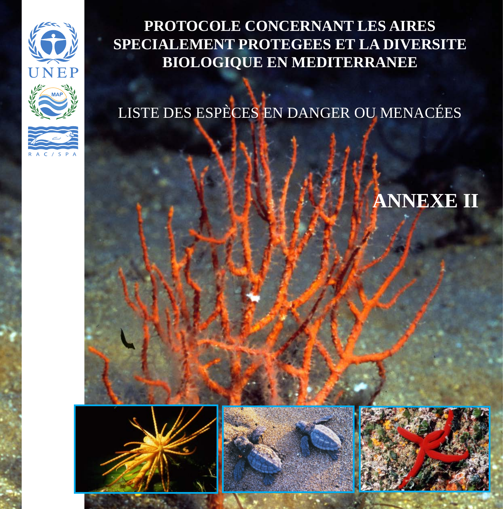

**PROTOCOLE CONCERNANT LES AIRES SPECIALEMENT PROTEGEES ET LA DIVERSITE BIOLOGIQUE EN MEDITERRANEE**

LISTE DES ESPÈCES EN DANGER OU MENACÉES

### **ANNEXE II**





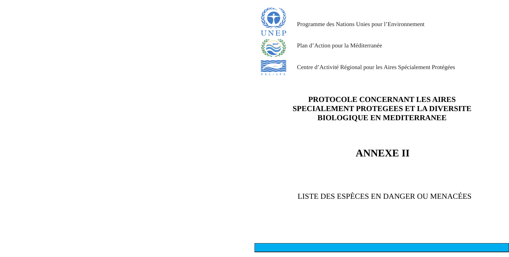### **PROTOCOLE CONCERNANT LES AIRES SPECIALEMENT PROTEGEES ET LA DIVERSITE BIOLOGIQUE EN MEDITERRANEE**

**ANNEXE II**

LISTE DES ESPÈCES EN DANGER OU MENACÉES



Programme des Nations Unies pour l'Environnement

Plan d'Action pour la Méditerranée



Centre d'Activité Régional pour les Aires Spécialement Protégées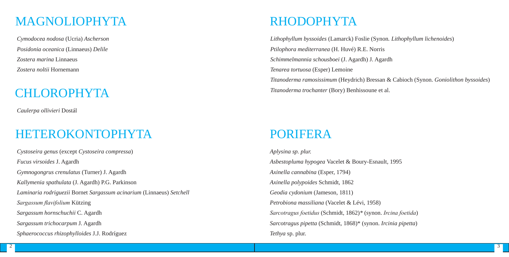### CHLOROPHYTA

*Cymodocea nodosa* (Ucria) *Ascherson Posidonia oceanica* (Linnaeus) *Delile Zostera marina* Linnaeus *Zostera noltii* Hornemann

*Caulerpa ollivieri* Dostál

### MAGNOLIOPHYTA

*Cystoseira genus* (except *Cystoseira compressa*) *Fucus virsoides* J. Agardh *Gymnogongrus crenulatus* (Turner) J. Agardh *Kallymenia spathulata* (J. Agardh) P.G. Parkinson *Laminaria rodriguezii* Bornet *Sargassum acinarium* (Linnaeus) *Setchell Sargassum flavifolium* Kützing *Sargassum hornschuchii* C. Agardh *Sargassum trichocarpum* J. Agardh *Sphaerococcus rhizophylloides* J.J. Rodríguez

### HETEROKONTOPHYTA

*Lithophyllum byssoides* (Lamarck) Foslie (Synon*. Lithophyllum lichenoides*) *Ptilophora mediterranea* (H. Huvé) R.E. Norris *Schimmelmannia schousboei* (J. Agardh) J. Agardh *Tenarea tortuosa* (Esper) Lemoine *Titanoderma ramosissimum* (Heydrich) Bressan & Cabioch (Synon. *Goniolithon byssoides*) *Titanoderma trochanter* (Bory) Benhissoune et al.

### RHODOPHYTA

*Aplysina sp. plur. Asbestopluma hypogea* Vacelet & Boury-Esnault, 1995 *Axinella cannabina* (Esper, 1794) *Axinella polypoides* Schmidt, 1862 *Geodia cydonium* (Jameson, 1811) *Petrobiona massiliana* (Vacelet & Lévi, 1958) *Sarcotragus foetidus* (Schmidt, 1862)*\** (synon. *Ircina foetida*) *Sarcotragus pipetta* (Schmidt, 1868)\* (synon. *Ircinia pipetta*) *Tethya* sp. plur.

### PORIFERA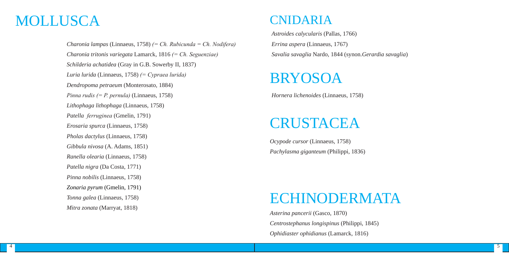*Charonia lampas* (Linnaeus, 1758) *(= Ch. Rubicunda = Ch. Nodifera) Charonia tritonis variegata* Lamarck, 1816 *(= Ch. Seguenziae) Schilderia achatidea* (Gray in G.B. Sowerby II, 1837) *Luria lurida* (Linnaeus, 1758) *(= Cypraea lurida) Dendropoma petraeum* (Monterosato, 1884) *Pinna rudis (= P. pernula)* (Linnaeus, 1758) *Lithophaga lithophaga* (Linnaeus, 1758) *Patella ferruginea* (Gmelin, 1791) *Erosaria spurca* (Linnaeus, 1758) *Pholas dactylus* (Linnaeus, 1758) *Gibbula nivosa* (A. Adams, 1851) *Ranella olearia* (Linnaeus, 1758) *Patella nigra* (Da Costa, 1771) *Pinna nobilis* (Linnaeus, 1758) *Zonaria pyrum* (Gmelin, 1791) *Tonna galea* (Linnaeus, 1758) *Mitra zonata* (Marryat, 1818)

*Astroides calycularis* (Pallas, 1766) *Errina aspera* (Linnaeus, 1767) *Savalia savaglia* Nardo, 1844 (synon.*Gerardia savaglia*)

## MOLLUSCA CNIDARIA

*Asterina pancerii* (Gasco, 1870) *Centrostephanus longispinus* (Philippi, 1845) *Ophidiaster ophidianus* (Lamarck, 1816)



# ECHINODERMATA

*Ocypode cursor* (Linnaeus, 1758) *Pachylasma giganteum* (Philippi, 1836)

# CRUSTACEA

*Hornera lichenoides* (Linnaeus, 1758)

# BRYOSOA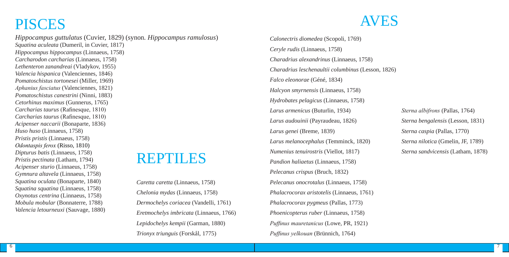*Hippocampus guttulatus* (Cuvier, 1829) (synon*. Hippocampus ramulosus*) *Squatina aculeata* (Dumeril, in Cuvier, 1817) *Hippocampus hippocampus* (Linnaeus, 1758) *Carcharodon carcharias* (Linnaeus, 1758) *Lethenteron zanandreai* (Vladykov, 1955) *Valencia hispanica* (Valenciennes, 1846) *Pomatoschistus tortonesei* (Miller, 1969) *Aphanius fasciatus* (Valenciennes, 1821) *Pomatoschistus canestrini* (Ninni, 1883) *Cetorhinus maximus* (Gunnerus, 1765) *Carcharias taurus* (Rafinesque, 1810) *Carcharias taurus* (Rafinesque, 1810) *Acipenser naccarii* (Bonaparte, 1836) *Huso huso* (Linnaeus, 1758) *Pristis pristis* (Linnaeus, 1758) *Odontaspis ferox* (Risso, 1810) *Dipturus batis* (Linnaeus, 1758) *Pristis pectinata* (Latham, 1794) *Acipenser sturio* (Linnaeus, 1758) *Gymnura altavela* (Linnaeus, 1758) *Squatina oculata* (Bonaparte, 1840) *Squatina squatina* (Linnaeus, 1758) *Oxynotus centrina* (Linnaeus, 1758) *Mobula mobular* (Bonnaterre, 1788) *Valencia letourneuxi* (Sauvage, 1880)

# **REPTILES**

### PISCES

*Caretta caretta* (Linnaeus, 1758) *Chelonia mydas* (Linnaeus, 1758) *Dermochelys coriacea* (Vandelli, 1761) *Eretmochelys imbricata* (Linnaeus, 1766) *Lepidochelys kempii* (Garman, 1880) *Trionyx triunguis* (Forskål, 1775)

# AVES

*Calonectris diomedea* (Scopoli, 1769) *Ceryle rudis* (Linnaeus, 1758) *Charadrius alexandrinus* (Linnaeus, 1758) *Charadrius leschenaultii columbinus* (Lesson, 1826) *Falco eleonorae* (Géné, 1834) *Halcyon smyrnensis* (Linnaeus, 1758) *Hydrobates pelagicus* (Linnaeus, 1758) *Larus armenicus* (Buturlin, 1934) *Larus audouinii* (Payraudeau, 1826) *Larus genei* (Breme, 1839) *Larus melanocephalus* (Temminck, 1820) *Numenius tenuirostris* (Viellot, 1817) *Pandion haliaetus* (Linnaeus, 1758) *Pelecanus crispus* (Bruch, 1832) *Pelecanus onocrotalus* (Linnaeus, 1758) *Phalacrocorax aristotelis* (Linnaeus, 1761) *Phalacrocorax pygmeus* (Pallas, 1773) *Phoenicopterus ruber* (Linnaeus, 1758) *Puffinus mauretanicus* (Lowe, PR, 1921) *Puffinus yelkouan* (Brünnich, 1764)

*Sterna albifrons* (Pallas, 1764) *Sterna bengalensis* (Lesson, 1831) *Sterna caspia* (Pallas, 1770) *Sterna nilotica* (Gmelin, JF, 1789) *Sterna sandvicensis* (Latham, 1878)